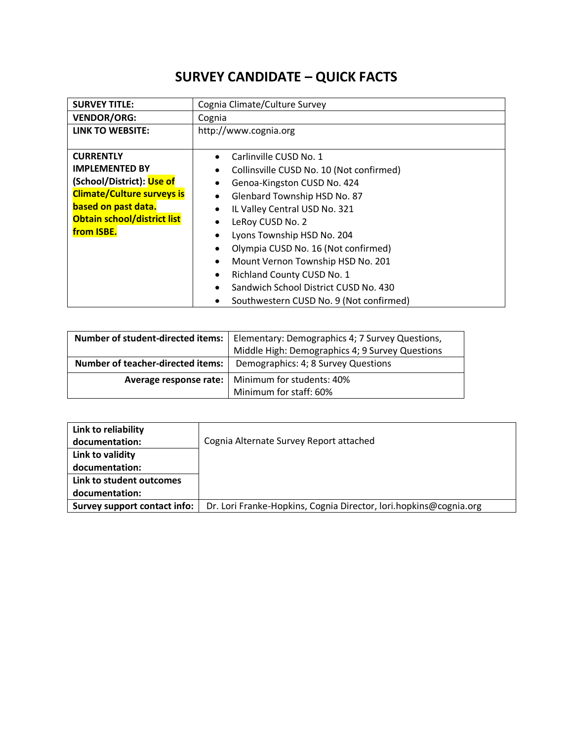## **SURVEY CANDIDATE – QUICK FACTS**

| <b>SURVEY TITLE:</b>               | Cognia Climate/Culture Survey                      |
|------------------------------------|----------------------------------------------------|
| <b>VENDOR/ORG:</b>                 | Cognia                                             |
| LINK TO WEBSITE:                   | http://www.cognia.org                              |
|                                    |                                                    |
| <b>CURRENTLY</b>                   | Carlinville CUSD No. 1<br>٠                        |
| <b>IMPLEMENTED BY</b>              | Collinsville CUSD No. 10 (Not confirmed)<br>٠      |
| (School/District): Use of          | Genoa-Kingston CUSD No. 424                        |
| <b>Climate/Culture surveys is</b>  | Glenbard Township HSD No. 87<br>$\bullet$          |
| based on past data.                | IL Valley Central USD No. 321<br>٠                 |
| <b>Obtain school/district list</b> | LeRoy CUSD No. 2<br>٠                              |
| from ISBE.                         | Lyons Township HSD No. 204<br>٠                    |
|                                    | Olympia CUSD No. 16 (Not confirmed)<br>٠           |
|                                    | Mount Vernon Township HSD No. 201<br>$\bullet$     |
|                                    | Richland County CUSD No. 1<br>$\bullet$            |
|                                    | Sandwich School District CUSD No. 430<br>$\bullet$ |
|                                    | Southwestern CUSD No. 9 (Not confirmed)            |

|                                   | <b>Number of student-directed items:</b>   Elementary: Demographics 4; 7 Survey Questions,<br>Middle High: Demographics 4; 9 Survey Questions |
|-----------------------------------|-----------------------------------------------------------------------------------------------------------------------------------------------|
| Number of teacher-directed items: | Demographics: 4; 8 Survey Questions                                                                                                           |
|                                   | <b>Average response rate:</b>   Minimum for students: 40%                                                                                     |
|                                   | Minimum for staff: 60%                                                                                                                        |

| Link to reliability          |                                                                   |
|------------------------------|-------------------------------------------------------------------|
| documentation:               | Cognia Alternate Survey Report attached                           |
| Link to validity             |                                                                   |
| documentation:               |                                                                   |
| Link to student outcomes     |                                                                   |
| documentation:               |                                                                   |
| Survey support contact info: | Dr. Lori Franke-Hopkins, Cognia Director, lori.hopkins@cognia.org |